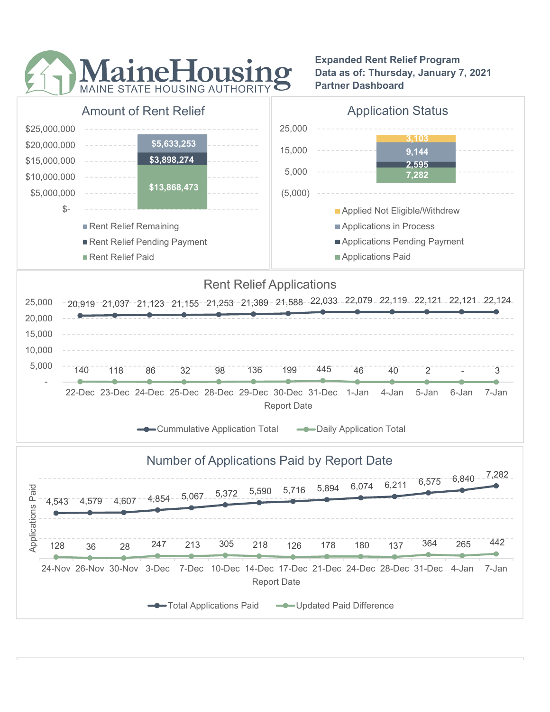

Expanded Rent Relief Program Data as of: Thursday, January 7, 2021 Partner Dashboard